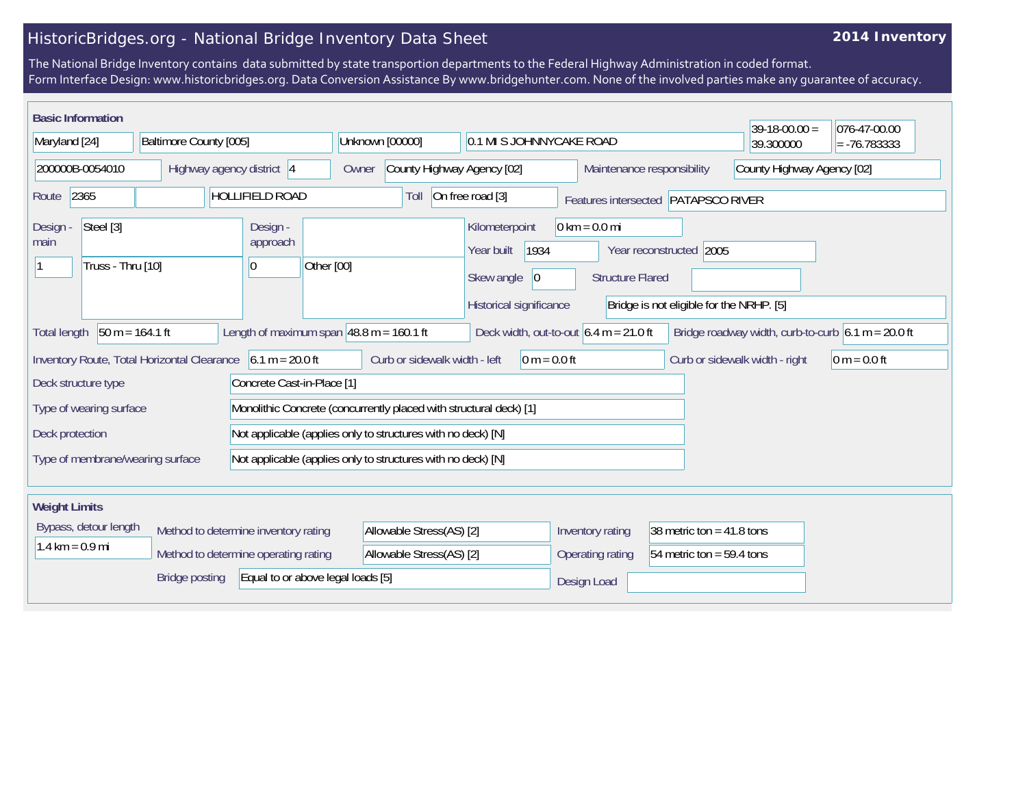## HistoricBridges.org - National Bridge Inventory Data Sheet

## **2014 Inventory**

The National Bridge Inventory contains data submitted by state transportion departments to the Federal Highway Administration in coded format. Form Interface Design: www.historicbridges.org. Data Conversion Assistance By www.bridgehunter.com. None of the involved parties make any guarantee of accuracy.

| <b>Basic Information</b><br>$39-18-00.00 =$                                                                                                                                                                                 |  |                            |                                      |                                                                                      |                                                                                                                                   |                                |                                                 | 076-47-00.00 |                            |  |
|-----------------------------------------------------------------------------------------------------------------------------------------------------------------------------------------------------------------------------|--|----------------------------|--------------------------------------|--------------------------------------------------------------------------------------|-----------------------------------------------------------------------------------------------------------------------------------|--------------------------------|-------------------------------------------------|--------------|----------------------------|--|
| Maryland [24]                                                                                                                                                                                                               |  | Baltimore County [005]     |                                      | Unknown [00000]                                                                      |                                                                                                                                   | 0.1 MI S JOHNNYCAKE ROAD       |                                                 | 39.300000    | $= -76.783333$             |  |
| 200000B-0054010                                                                                                                                                                                                             |  |                            | Highway agency district 4            | Owner                                                                                | County Highway Agency [02]                                                                                                        |                                | Maintenance responsibility                      |              | County Highway Agency [02] |  |
| <b>HOLLIFIELD ROAD</b><br>2365<br>Route                                                                                                                                                                                     |  |                            | Toll                                 | On free road [3]<br>Features intersected PATAPSCO RIVER                              |                                                                                                                                   |                                |                                                 |              |                            |  |
| Steel [3]<br>Design -<br>main<br>Truss - Thru [10]                                                                                                                                                                          |  | Design -<br>approach<br> 0 | Other [00]                           | Kilometerpoint<br>1934<br>Year built<br>Skew angle<br> 0 <br>Historical significance | $0 \text{ km} = 0.0 \text{ mi}$<br>Year reconstructed 2005<br><b>Structure Flared</b><br>Bridge is not eligible for the NRHP. [5] |                                |                                                 |              |                            |  |
| $50 m = 164.1 ft$<br>Length of maximum span $ 48.8 \text{ m} = 160.1 \text{ ft}$<br>Bridge roadway width, curb-to-curb $6.1 m = 20.0 ft$<br>Deck width, out-to-out $6.4 \text{ m} = 21.0 \text{ ft}$<br><b>Total length</b> |  |                            |                                      |                                                                                      |                                                                                                                                   |                                |                                                 |              |                            |  |
| $6.1 m = 20.0 ft$<br>Inventory Route, Total Horizontal Clearance                                                                                                                                                            |  |                            |                                      | Curb or sidewalk width - left<br>$0 m = 0.0 ft$                                      |                                                                                                                                   | Curb or sidewalk width - right | $0 m = 0.0 ft$                                  |              |                            |  |
| Concrete Cast-in-Place [1]<br>Deck structure type                                                                                                                                                                           |  |                            |                                      |                                                                                      |                                                                                                                                   |                                |                                                 |              |                            |  |
| Type of wearing surface                                                                                                                                                                                                     |  |                            |                                      | Monolithic Concrete (concurrently placed with structural deck) [1]                   |                                                                                                                                   |                                |                                                 |              |                            |  |
| Not applicable (applies only to structures with no deck) [N]<br>Deck protection                                                                                                                                             |  |                            |                                      |                                                                                      |                                                                                                                                   |                                |                                                 |              |                            |  |
| Type of membrane/wearing surface<br>Not applicable (applies only to structures with no deck) [N]                                                                                                                            |  |                            |                                      |                                                                                      |                                                                                                                                   |                                |                                                 |              |                            |  |
| <b>Weight Limits</b>                                                                                                                                                                                                        |  |                            |                                      |                                                                                      |                                                                                                                                   |                                |                                                 |              |                            |  |
| Bypass, detour length<br>$1.4 \text{ km} = 0.9 \text{ mi}$<br>Method to determine operating rating                                                                                                                          |  |                            | Method to determine inventory rating |                                                                                      | Allowable Stress(AS) [2]                                                                                                          |                                | 38 metric ton = $41.8$ tons<br>Inventory rating |              |                            |  |
|                                                                                                                                                                                                                             |  |                            | Allowable Stress(AS) [2]             |                                                                                      | Operating rating                                                                                                                  | 54 metric ton = 59.4 tons      |                                                 |              |                            |  |
| Equal to or above legal loads [5]<br><b>Bridge posting</b>                                                                                                                                                                  |  |                            |                                      |                                                                                      | Design Load                                                                                                                       |                                |                                                 |              |                            |  |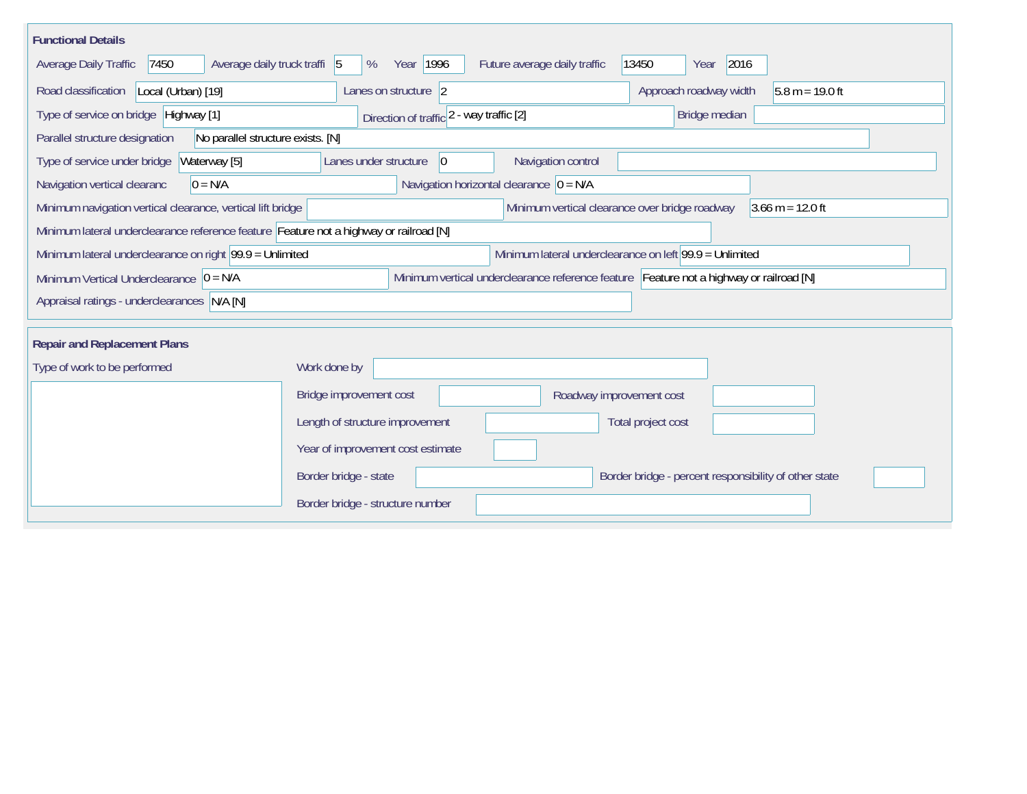| <b>Functional Details</b>                                                                                                                           |                                                                                         |                              |                                                       |                   |  |  |  |  |
|-----------------------------------------------------------------------------------------------------------------------------------------------------|-----------------------------------------------------------------------------------------|------------------------------|-------------------------------------------------------|-------------------|--|--|--|--|
| Average daily truck traffi 5<br>Average Daily Traffic<br>7450                                                                                       | Year 1996<br>%                                                                          | Future average daily traffic | 2016<br>13450<br>Year                                 |                   |  |  |  |  |
| Road classification<br>Local (Urban) [19]                                                                                                           | Lanes on structure 2                                                                    |                              | Approach roadway width                                | $5.8 m = 19.0 ft$ |  |  |  |  |
| Type of service on bridge Highway [1]                                                                                                               | Direction of traffic 2 - way traffic [2]                                                |                              | Bridge median                                         |                   |  |  |  |  |
| No parallel structure exists. [N]<br>Parallel structure designation                                                                                 |                                                                                         |                              |                                                       |                   |  |  |  |  |
| Waterway [5]<br>Type of service under bridge                                                                                                        | $ 0\rangle$<br>Lanes under structure                                                    | Navigation control           |                                                       |                   |  |  |  |  |
| Navigation horizontal clearance $ 0 = N/A$<br>Navigation vertical clearanc<br>$0 = N/A$                                                             |                                                                                         |                              |                                                       |                   |  |  |  |  |
| Minimum vertical clearance over bridge roadway<br>Minimum navigation vertical clearance, vertical lift bridge<br>$3.66 \text{ m} = 12.0 \text{ ft}$ |                                                                                         |                              |                                                       |                   |  |  |  |  |
| Minimum lateral underclearance reference feature Feature not a highway or railroad [N]                                                              |                                                                                         |                              |                                                       |                   |  |  |  |  |
| Minimum lateral underclearance on right $99.9 =$ Unlimited<br>Minimum lateral underclearance on left 99.9 = Unlimited                               |                                                                                         |                              |                                                       |                   |  |  |  |  |
| Minimum Vertical Underclearance $ 0 = N/A $                                                                                                         | Minimum vertical underclearance reference feature Feature not a highway or railroad [N] |                              |                                                       |                   |  |  |  |  |
| Appraisal ratings - underclearances N/A [N]                                                                                                         |                                                                                         |                              |                                                       |                   |  |  |  |  |
|                                                                                                                                                     |                                                                                         |                              |                                                       |                   |  |  |  |  |
| <b>Repair and Replacement Plans</b>                                                                                                                 |                                                                                         |                              |                                                       |                   |  |  |  |  |
| Type of work to be performed                                                                                                                        | Work done by                                                                            |                              |                                                       |                   |  |  |  |  |
|                                                                                                                                                     | Bridge improvement cost                                                                 | Roadway improvement cost     |                                                       |                   |  |  |  |  |
|                                                                                                                                                     | Length of structure improvement                                                         |                              | Total project cost                                    |                   |  |  |  |  |
|                                                                                                                                                     | Year of improvement cost estimate                                                       |                              |                                                       |                   |  |  |  |  |
|                                                                                                                                                     | Border bridge - state                                                                   |                              | Border bridge - percent responsibility of other state |                   |  |  |  |  |
|                                                                                                                                                     | Border bridge - structure number                                                        |                              |                                                       |                   |  |  |  |  |